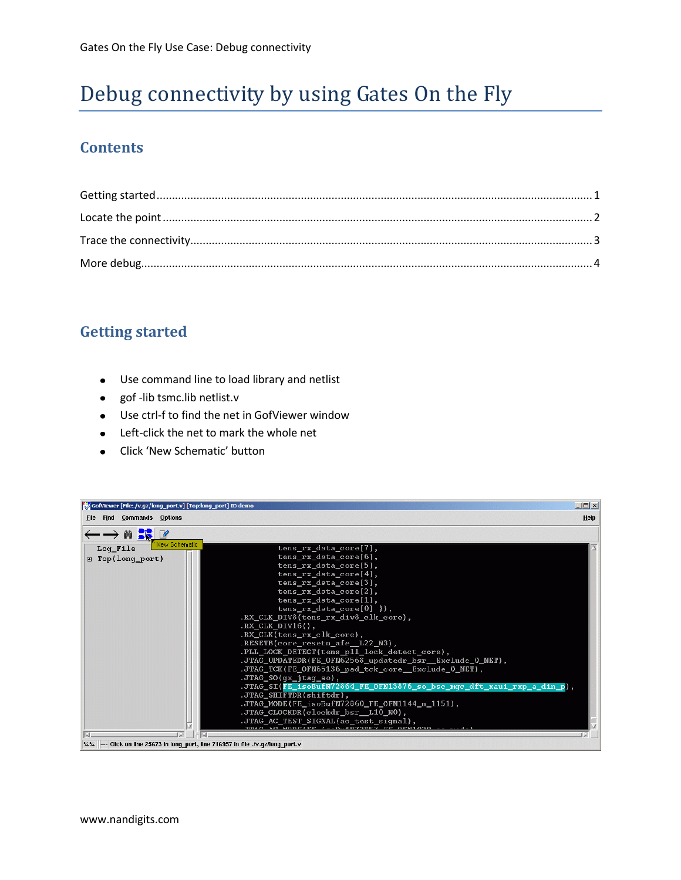# Debug connectivity by using Gates On the Fly

### **Contents**

### <span id="page-0-0"></span>**Getting started**

- Use command line to load library and netlist  $\bullet$
- gof -lib tsmc.lib netlist.v  $\bullet$
- Use ctrl-f to find the net in GofViewer window  $\bullet$
- Left-click the net to mark the whole net  $\bullet$
- Click 'New Schematic' button

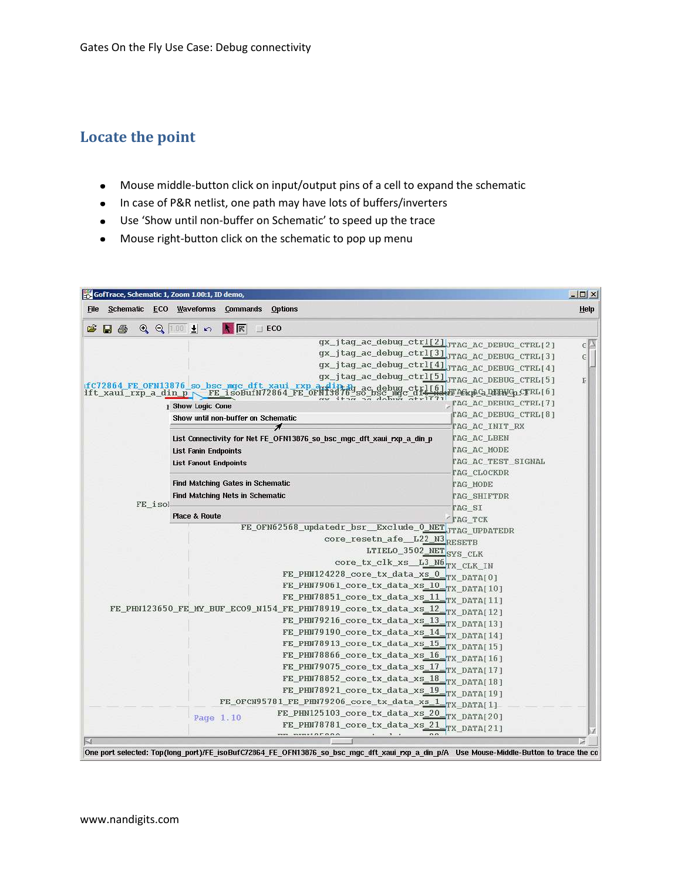# <span id="page-1-0"></span>**Locate the point**

- Mouse middle-button click on input/output pins of a cell to expand the schematic
- In case of P&R netlist, one path may have lots of buffers/inverters
- Use 'Show until non-buffer on Schematic' to speed up the trace
- Mouse right-button click on the schematic to pop up menu

| GofTrace, Schematic 1, Zoom 1.00:1, ID demo, |                                                                                                                                         |                                    | $\Box$     |
|----------------------------------------------|-----------------------------------------------------------------------------------------------------------------------------------------|------------------------------------|------------|
| Schematic ECO Waveforms<br><b>File</b>       | <b>Options</b><br><b>Commands</b>                                                                                                       |                                    | Help       |
| Œ<br>a<br>Ы                                  | KR<br>$QQ \parallel 00 \pm \infty$<br>$\perp$ ECO                                                                                       |                                    |            |
|                                              | qx_jtag_ac_debug_ctrl[2]_JTAG_AC_DEBUG_CTRL[2]                                                                                          |                                    | $\epsilon$ |
|                                              | gx_jtag_ac_debug_ctrl[3]_JTAG_AC_DEBUG_CTRL[3]                                                                                          |                                    | C.         |
|                                              | gx_jtag_ac_debug_ctrl[4]_JTAG_AC_DEBUG_CTRL[4]                                                                                          |                                    |            |
|                                              | qx_jtaq_ac_debuq_ctrl[5]                                                                                                                | JTAG_AC_DEBUG_CTRL[5]              | F          |
| ift xaui rxp a din p                         | fC72864 FE OFN13876 so bsc mgc dft xaui rxp and:<br><sub>p</sub> debug.ct<br>psc mgc d<br>FE isoBufN72864 FE OFNI387                    | <b>HT AEx pCa_QUEHNGp_CTRL [6]</b> |            |
|                                              | d                                                                                                                                       | TAG_AC_DEBUG_CTRL[7]               |            |
|                                              | <b>I Show Logic Cone</b>                                                                                                                | TAG_AC_DEBUG_CTRL[8]               |            |
|                                              | Show until non-buffer on Schematic<br>Å                                                                                                 | TAG_AC_INIT_RX                     |            |
|                                              | List Connectivity for Net FE OFN13876 so bsc mgc dft xaui rxp a din p                                                                   | TAG AC LBEN                        |            |
|                                              | <b>List Fanin Endpoints</b>                                                                                                             | TAG AC MODE                        |            |
|                                              | <b>List Fanout Endpoints</b>                                                                                                            | TAG_AC_TEST_SIGNAL                 |            |
|                                              |                                                                                                                                         | <b>TAG CLOCKDR</b>                 |            |
|                                              | <b>Find Matching Gates in Schematic</b>                                                                                                 | TAG MODE                           |            |
|                                              | <b>Find Matching Nets in Schematic</b>                                                                                                  | TAG SHIFTDR                        |            |
| FE isol                                      |                                                                                                                                         | TAG SI                             |            |
|                                              | <b>Place &amp; Route</b>                                                                                                                | TAG TCK                            |            |
|                                              | FE_OFN62568_updatedr_bsr_Exclude_0_NET_JTAG_UPDATEDR                                                                                    |                                    |            |
|                                              | core_resetn_afe_L22_N3RESETB                                                                                                            |                                    |            |
|                                              | LTIELO_3502_NETSYS_CLK                                                                                                                  |                                    |            |
|                                              | core_tx_clk_xs_L3_N6TX_CLK_IN                                                                                                           |                                    |            |
|                                              | FE_PHN124228_core_tx_data_xs_0                                                                                                          | TX_DATA[0]                         |            |
|                                              | FE PHN79061_core_tx_data_xs_10                                                                                                          | TX DATA[10]                        |            |
|                                              | FE_PHN78851_core_tx_data_xs_11                                                                                                          | TX DATA[11]                        |            |
|                                              | FE_PHN123650_FE_MY_BUF_ECO9_N154_FE_PHN78919_core_tx_data_xs_12                                                                         | TX_DATA[12]                        |            |
|                                              | FE_PHN79216_core_tx_data_xs_13                                                                                                          | TX_DATA[13]                        |            |
|                                              | FE_PHN79190_core_tx_data_xs_14_                                                                                                         | TX DATA[14]                        |            |
|                                              | FE PHN78913 core tx data xs 15                                                                                                          | TX_DATA[15]                        |            |
|                                              | FE PHN78866 core tx data xs 16                                                                                                          | TX DATA[16]                        |            |
|                                              | FE_PHN79075_core_tx_data_xs_17                                                                                                          | TX DATA[17]                        |            |
|                                              | FE PHN78852 core tx data xs 18                                                                                                          | TX DATA[18]                        |            |
|                                              | FE_PHN78921_core_tx_data_xs_19                                                                                                          |                                    |            |
|                                              | FE_OFCN95781_FE_PHN79206_core_tx_data_xs_1                                                                                              | TX_DATA[19]                        |            |
|                                              | FE PHN125103 core tx data xs 20                                                                                                         | TX_DATA[1]<br>TX DATA[20]          |            |
|                                              | Page 1.10<br>FE PHN78781 core tx data xs 21                                                                                             | TX DATA[21]                        |            |
|                                              | $\overline{a}$<br><b>WWW.WARRANTOO</b>                                                                                                  |                                    |            |
|                                              | One port selected: Top(long port)/FE isoBufC72864 FE OFN13876 so bsc mgc dft xaui rxp a din p/A Use Mouse-Middle-Button to trace the co |                                    |            |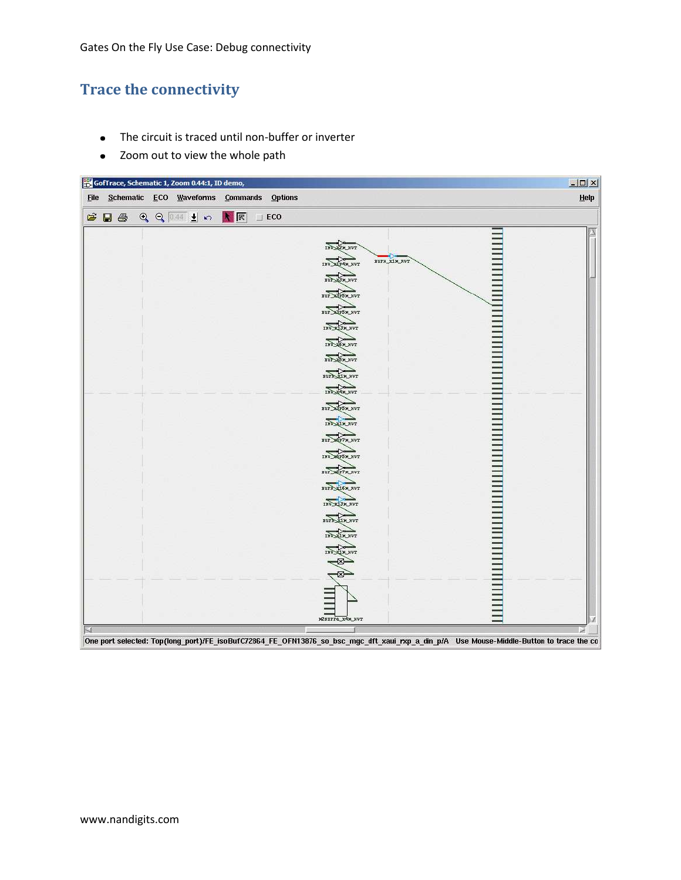## <span id="page-2-0"></span>**Trace the connectivity**

- The circuit is traced until non-buffer or inverter  $\bullet$
- Zoom out to view the whole path $\bullet$

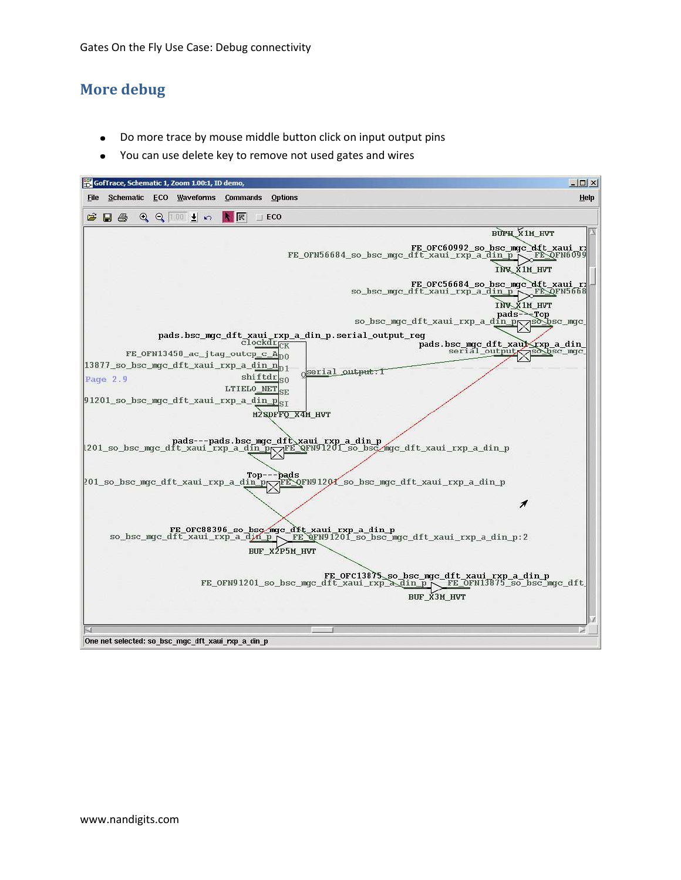### <span id="page-3-0"></span>**More debug**

- Do more trace by mouse middle button click on input output pins
- You can use delete key to remove not used gates and wires